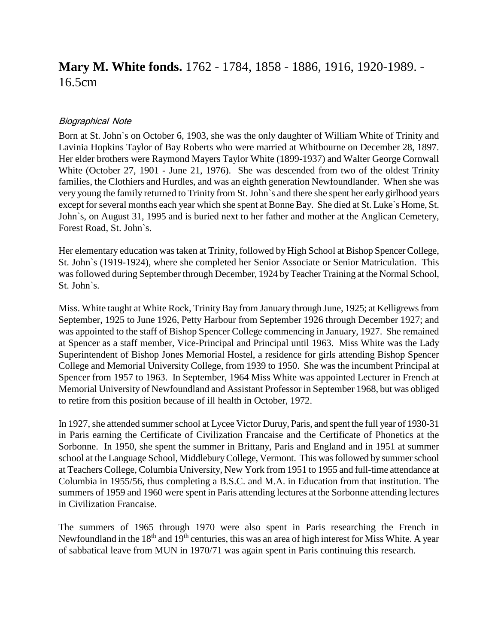# **Mary M. White fonds.** 1762 - 1784, 1858 - 1886, 1916, 1920-1989. - 16.5cm

#### Biographical Note

Born at St. John`s on October 6, 1903, she was the only daughter of William White of Trinity and Lavinia Hopkins Taylor of Bay Roberts who were married at Whitbourne on December 28, 1897. Her elder brothers were Raymond Mayers Taylor White (1899-1937) and Walter George Cornwall White (October 27, 1901 - June 21, 1976). She was descended from two of the oldest Trinity families, the Clothiers and Hurdles, and was an eighth generation Newfoundlander. When she was very young the family returned to Trinity from St. John`s and there she spent her early girlhood years except for several months each year which she spent at Bonne Bay. She died at St. Luke`s Home, St. John`s, on August 31, 1995 and is buried next to her father and mother at the Anglican Cemetery, Forest Road, St. John`s.

Her elementary education was taken at Trinity, followed by High School at Bishop Spencer College, St. John`s (1919-1924), where she completed her Senior Associate or Senior Matriculation. This was followed during September through December, 1924 by Teacher Training at the Normal School, St. John`s.

Miss. White taught at White Rock, Trinity Bay from January through June, 1925; at Kelligrewsfrom September, 1925 to June 1926, Petty Harbour from September 1926 through December 1927; and was appointed to the staff of Bishop Spencer College commencing in January, 1927. She remained at Spencer as a staff member, Vice-Principal and Principal until 1963. Miss White was the Lady Superintendent of Bishop Jones Memorial Hostel, a residence for girls attending Bishop Spencer College and Memorial University College, from 1939 to 1950. She was the incumbent Principal at Spencer from 1957 to 1963. In September, 1964 Miss White was appointed Lecturer in French at Memorial University of Newfoundland and Assistant Professor in September 1968, but was obliged to retire from this position because of ill health in October, 1972.

In 1927, she attended summer school at Lycee Victor Duruy, Paris, and spent the full year of 1930-31 in Paris earning the Certificate of Civilization Francaise and the Certificate of Phonetics at the Sorbonne. In 1950, she spent the summer in Brittany, Paris and England and in 1951 at summer school at the Language School, Middlebury College, Vermont. This was followed by summer school at Teachers College, Columbia University, New York from 1951 to 1955 and full-time attendance at Columbia in 1955/56, thus completing a B.S.C. and M.A. in Education from that institution. The summers of 1959 and 1960 were spent in Paris attending lectures at the Sorbonne attending lectures in Civilization Francaise.

The summers of 1965 through 1970 were also spent in Paris researching the French in Newfoundland in the 18<sup>th</sup> and 19<sup>th</sup> centuries, this was an area of high interest for Miss White. A year of sabbatical leave from MUN in 1970/71 was again spent in Paris continuing this research.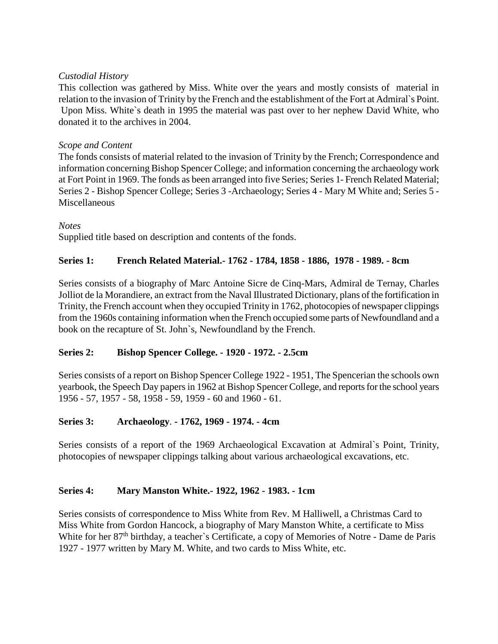### *Custodial History*

This collection was gathered by Miss. White over the years and mostly consists of material in relation to the invasion of Trinity by the French and the establishment of the Fort at Admiral`s Point. Upon Miss. White`s death in 1995 the material was past over to her nephew David White, who donated it to the archives in 2004.

### *Scope and Content*

The fonds consists of material related to the invasion of Trinity by the French; Correspondence and information concerning Bishop Spencer College; and information concerning the archaeology work at Fort Point in 1969. The fonds as been arranged into five Series; Series 1- French Related Material; Series 2 - Bishop Spencer College; Series 3 -Archaeology; Series 4 - Mary M White and; Series 5 - Miscellaneous

#### *Notes*

Supplied title based on description and contents of the fonds.

### **Series 1: French Related Material.- 1762 - 1784, 1858 - 1886, 1978 - 1989. - 8cm**

Series consists of a biography of Marc Antoine Sicre de Cinq-Mars, Admiral de Ternay, Charles Jolliot de la Morandiere, an extract from the Naval Illustrated Dictionary, plans of the fortification in Trinity, the French account when they occupied Trinity in 1762, photocopies of newspaper clippings from the 1960s containing information when the French occupied some parts of Newfoundland and a book on the recapture of St. John`s, Newfoundland by the French.

# **Series 2: Bishop Spencer College. - 1920 - 1972. - 2.5cm**

Series consists of a report on Bishop Spencer College 1922 - 1951, The Spencerian the schools own yearbook, the Speech Day papers in 1962 at Bishop Spencer College, and reports for the school years 1956 - 57, 1957 - 58, 1958 - 59, 1959 - 60 and 1960 - 61.

# **Series 3: Archaeology**. **- 1762, 1969 - 1974. - 4cm**

Series consists of a report of the 1969 Archaeological Excavation at Admiral`s Point, Trinity, photocopies of newspaper clippings talking about various archaeological excavations, etc.

# **Series 4: Mary Manston White.- 1922, 1962 - 1983. - 1cm**

Series consists of correspondence to Miss White from Rev. M Halliwell, a Christmas Card to Miss White from Gordon Hancock, a biography of Mary Manston White, a certificate to Miss White for her 87<sup>th</sup> birthday, a teacher's Certificate, a copy of Memories of Notre - Dame de Paris 1927 - 1977 written by Mary M. White, and two cards to Miss White, etc.